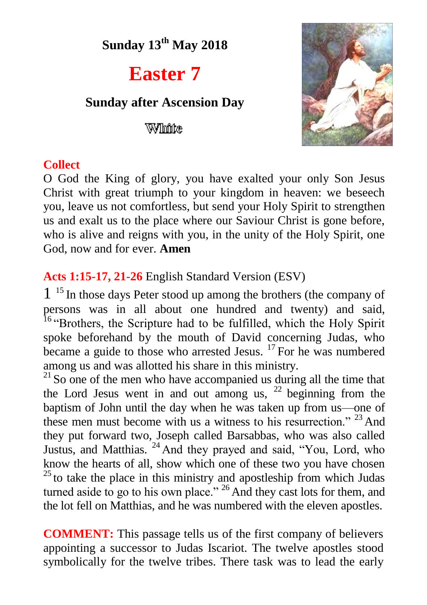**Sunday 13 th May 2018**

# **Easter 7**

# **Sunday after Ascension Day**

Wilhinke



## **Collect**

O God the King of glory, you have exalted your only Son Jesus Christ with great triumph to your kingdom in heaven: we beseech you, leave us not comfortless, but send your Holy Spirit to strengthen us and exalt us to the place where our Saviour Christ is gone before, who is alive and reigns with you, in the unity of the Holy Spirit, one God, now and for ever. **Amen**

# **Acts 1:15-17, 21-26** English Standard Version (ESV)

1 <sup>15</sup> In those days Peter stood up among the brothers (the company of persons was in all about one hundred and twenty) and said, <sup>16</sup> "Brothers, the Scripture had to be fulfilled, which the Holy Spirit spoke beforehand by the mouth of David concerning Judas, who became a guide to those who arrested Jesus. <sup>17</sup> For he was numbered among us and was allotted his share in this ministry.

 $^{21}$  So one of the men who have accompanied us during all the time that the Lord Jesus went in and out among us,  $2^2$  beginning from the baptism of John until the day when he was taken up from us—one of these men must become with us a witness to his resurrection." <sup>23</sup> And they put forward two, Joseph called Barsabbas, who was also called Justus, and Matthias. <sup>24</sup> And they prayed and said, "You, Lord, who know the hearts of all, show which one of these two you have chosen  $25$  to take the place in this ministry and apostleship from which Judas turned aside to go to his own place."<sup>26</sup> And they cast lots for them, and the lot fell on Matthias, and he was numbered with the eleven apostles.

**COMMENT:** This passage tells us of the first company of believers appointing a successor to Judas Iscariot. The twelve apostles stood symbolically for the twelve tribes. There task was to lead the early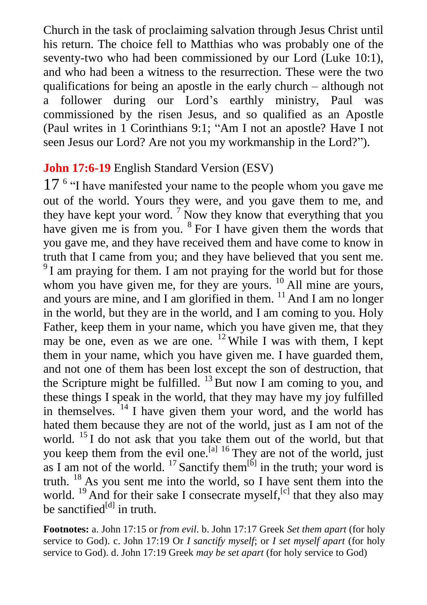Church in the task of proclaiming salvation through Jesus Christ until his return. The choice fell to Matthias who was probably one of the seventy-two who had been commissioned by our Lord (Luke 10:1), and who had been a witness to the resurrection. These were the two qualifications for being an apostle in the early church – although not a follower during our Lord's earthly ministry, Paul was commissioned by the risen Jesus, and so qualified as an Apostle (Paul writes in 1 Corinthians 9:1; "Am I not an apostle? Have I not seen Jesus our Lord? Are not you my workmanship in the Lord?").

# **John 17:6-19** English Standard Version (ESV)

17<sup>6</sup> "I have manifested your name to the people whom you gave me out of the world. Yours they were, and you gave them to me, and they have kept your word.<sup>7</sup> Now they know that everything that you have given me is from you. <sup>8</sup> For I have given them the words that you gave me, and they have received them and have come to know in truth that I came from you; and they have believed that you sent me. <sup>9</sup>I am praying for them. I am not praying for the world but for those whom you have given me, for they are yours. <sup>10</sup> All mine are yours, and yours are mine, and I am glorified in them.  $11$  And I am no longer in the world, but they are in the world, and I am coming to you. Holy Father, keep them in your name, which you have given me, that they may be one, even as we are one. <sup>12</sup> While I was with them, I kept them in your name, which you have given me. I have guarded them, and not one of them has been lost except the son of destruction, that the Scripture might be fulfilled.  $^{13}$  But now I am coming to you, and these things I speak in the world, that they may have my joy fulfilled in themselves. <sup>14</sup> I have given them your word, and the world has hated them because they are not of the world, just as I am not of the world. <sup>15</sup> I do not ask that you take them out of the world, but that you keep them from the evil one.<sup>[a] 16</sup> They are not of the world, just as I am not of the world.  $^{17}$  Sanctify them<sup>[b]</sup> in the truth; your word is truth. <sup>18</sup> As you sent me into the world, so I have sent them into the world.  $^{19}$  And for their sake I consecrate myself, <sup>[c]</sup> that they also may be sanctified<sup>[d]</sup> in truth.

**Footnotes:** a. John 17:15 or *from evil*. b. John 17:17 Greek *Set them apart* (for holy service to God). c. John 17:19 Or *I sanctify myself*; or *I set myself apart* (for holy service to God). d. John 17:19 Greek *may be set apart* (for holy service to God)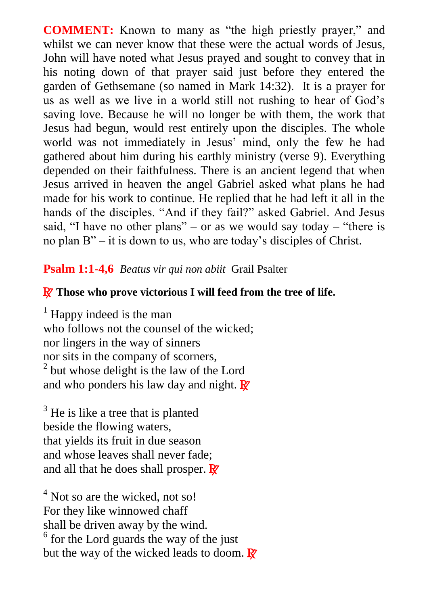**COMMENT:** Known to many as "the high priestly prayer," and whilst we can never know that these were the actual words of Jesus, John will have noted what Jesus prayed and sought to convey that in his noting down of that prayer said just before they entered the garden of Gethsemane (so named in Mark 14:32). It is a prayer for us as well as we live in a world still not rushing to hear of God's saving love. Because he will no longer be with them, the work that Jesus had begun, would rest entirely upon the disciples. The whole world was not immediately in Jesus' mind, only the few he had gathered about him during his earthly ministry (verse 9). Everything depended on their faithfulness. There is an ancient legend that when Jesus arrived in heaven the angel Gabriel asked what plans he had made for his work to continue. He replied that he had left it all in the hands of the disciples. "And if they fail?" asked Gabriel. And Jesus said, "I have no other plans" – or as we would say today – "there is no plan B" – it is down to us, who are today's disciples of Christ.

## **Psalm 1:1-4,6** *Beatus vir qui non abiit* Grail Psalter

#### R **Those who prove victorious I will feed from the tree of life.**

 $<sup>1</sup>$  Happy indeed is the man</sup> who follows not the counsel of the wicked; nor lingers in the way of sinners nor sits in the company of scorners, <sup>2</sup> but whose delight is the law of the Lord and who ponders his law day and night.  $\mathbb{R}$ 

 $3$  He is like a tree that is planted beside the flowing waters, that yields its fruit in due season and whose leaves shall never fade; and all that he does shall prosper.  $\mathbb{R}^7$ 

 $<sup>4</sup>$  Not so are the wicked, not so!</sup> For they like winnowed chaff shall be driven away by the wind. <sup>6</sup> for the Lord guards the way of the just but the way of the wicked leads to doom.  $\mathbb{R}^7$